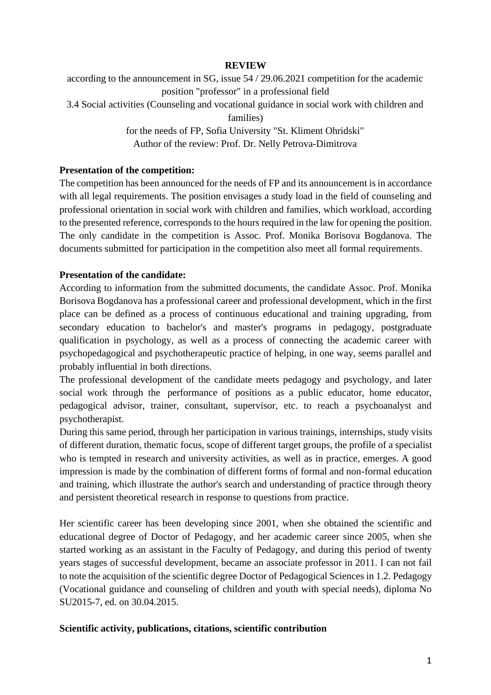#### **REVIEW**

according to the announcement in SG, issue 54 / 29.06.2021 competition for the academic position "professor" in a professional field 3.4 Social activities (Counseling and vocational guidance in social work with children and families) for the needs of FP, Sofia University "St. Kliment Ohridski" Author of the review: Prof. Dr. Nelly Petrova-Dimitrova

# **Presentation of the competition:**

The competition has been announced for the needs of FP and its announcement is in accordance with all legal requirements. The position envisages a study load in the field of counseling and professional orientation in social work with children and families, which workload, according to the presented reference, corresponds to the hours required in the law for opening the position. The only candidate in the competition is Assoc. Prof. Monika Borisova Bogdanova. The documents submitted for participation in the competition also meet all formal requirements.

#### **Presentation of the candidate:**

According to information from the submitted documents, the candidate Assoc. Prof. Monika Borisova Bogdanova has a professional career and professional development, which in the first place can be defined as a process of continuous educational and training upgrading, from secondary education to bachelor's and master's programs in pedagogy, postgraduate qualification in psychology, as well as a process of connecting the academic career with psychopedagogical and psychotherapeutic practice of helping, in one way, seems parallel and probably influential in both directions.

The professional development of the candidate meets pedagogy and psychology, and later social work through the performance of positions as a public educator, home educator, pedagogical advisor, trainer, consultant, supervisor, etc. to reach a psychoanalyst and psychotherapist.

During this same period, through her participation in various trainings, internships, study visits of different duration, thematic focus, scope of different target groups, the profile of a specialist who is tempted in research and university activities, as well as in practice, emerges. A good impression is made by the combination of different forms of formal and non-formal education and training, which illustrate the author's search and understanding of practice through theory and persistent theoretical research in response to questions from practice.

Her scientific career has been developing since 2001, when she obtained the scientific and educational degree of Doctor of Pedagogy, and her academic career since 2005, when she started working as an assistant in the Faculty of Pedagogy, and during this period of twenty years stages of successful development, became an associate professor in 2011. I can not fail to note the acquisition of the scientific degree Doctor of Pedagogical Sciences in 1.2. Pedagogy (Vocational guidance and counseling of children and youth with special needs), diploma No SU2015-7, ed. on 30.04.2015.

#### **Scientific activity, publications, citations, scientific contribution**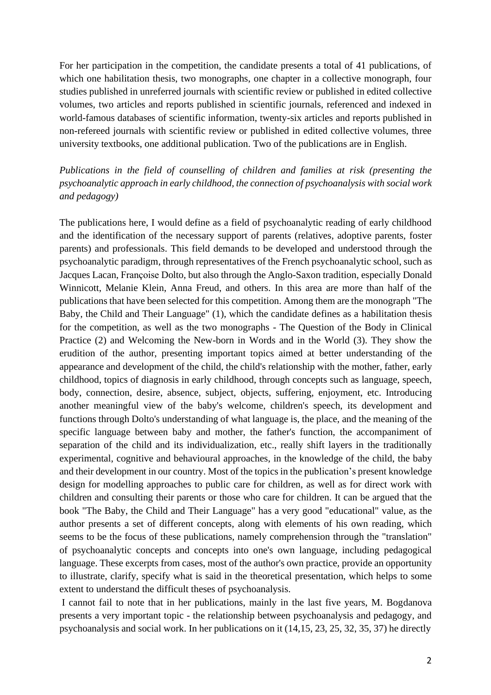For her participation in the competition, the candidate presents a total of 41 publications, of which one habilitation thesis, two monographs, one chapter in a collective monograph, four studies published in unreferred journals with scientific review or published in edited collective volumes, two articles and reports published in scientific journals, referenced and indexed in world-famous databases of scientific information, twenty-six articles and reports published in non-refereed journals with scientific review or published in edited collective volumes, three university textbooks, one additional publication. Two of the publications are in English.

# *Publications in the field of counselling of children and families at risk (presenting the psychoanalytic approach in early childhood, the connection of psychoanalysis with social work and pedagogy)*

The publications here, I would define as a field of psychoanalytic reading of early childhood and the identification of the necessary support of parents (relatives, adoptive parents, foster parents) and professionals. This field demands to be developed and understood through the psychoanalytic paradigm, through representatives of the French psychoanalytic school, such as Jacques Lacan, Françoise Dolto, but also through the Anglo-Saxon tradition, especially Donald Winnicott, Melanie Klein, Anna Freud, and others. In this area are more than half of the publications that have been selected for this competition. Among them are the monograph "The Baby, the Child and Their Language" (1), which the candidate defines as a habilitation thesis for the competition, as well as the two monographs - The Question of the Body in Clinical Practice (2) and Welcoming the New-born in Words and in the World (3). They show the erudition of the author, presenting important topics aimed at better understanding of the appearance and development of the child, the child's relationship with the mother, father, early childhood, topics of diagnosis in early childhood, through concepts such as language, speech, body, connection, desire, absence, subject, objects, suffering, enjoyment, etc. Introducing another meaningful view of the baby's welcome, children's speech, its development and functions through Dolto's understanding of what language is, the place, and the meaning of the specific language between baby and mother, the father's function, the accompaniment of separation of the child and its individualization, etc., really shift layers in the traditionally experimental, cognitive and behavioural approaches, in the knowledge of the child, the baby and their development in our country. Most of the topics in the publication's present knowledge design for modelling approaches to public care for children, as well as for direct work with children and consulting their parents or those who care for children. It can be argued that the book "The Baby, the Child and Their Language" has a very good "educational" value, as the author presents a set of different concepts, along with elements of his own reading, which seems to be the focus of these publications, namely comprehension through the "translation" of psychoanalytic concepts and concepts into one's own language, including pedagogical language. These excerpts from cases, most of the author's own practice, provide an opportunity to illustrate, clarify, specify what is said in the theoretical presentation, which helps to some extent to understand the difficult theses of psychoanalysis.

I cannot fail to note that in her publications, mainly in the last five years, M. Bogdanova presents a very important topic - the relationship between psychoanalysis and pedagogy, and psychoanalysis and social work. In her publications on it (14,15, 23, 25, 32, 35, 37) he directly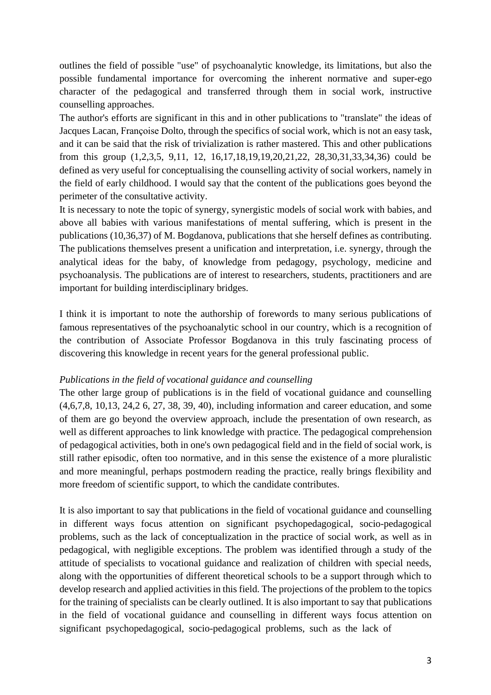outlines the field of possible "use" of psychoanalytic knowledge, its limitations, but also the possible fundamental importance for overcoming the inherent normative and super-ego character of the pedagogical and transferred through them in social work, instructive counselling approaches.

The author's efforts are significant in this and in other publications to "translate" the ideas of Jacques Lacan, Françoise Dolto, through the specifics of social work, which is not an easy task, and it can be said that the risk of trivialization is rather mastered. This and other publications from this group (1,2,3,5, 9,11, 12, 16,17,18,19,19,20,21,22, 28,30,31,33,34,36) could be defined as very useful for conceptualising the counselling activity of social workers, namely in the field of early childhood. I would say that the content of the publications goes beyond the perimeter of the consultative activity.

It is necessary to note the topic of synergy, synergistic models of social work with babies, and above all babies with various manifestations of mental suffering, which is present in the publications (10,36,37) of M. Bogdanova, publications that she herself defines as contributing. The publications themselves present a unification and interpretation, i.e. synergy, through the analytical ideas for the baby, of knowledge from pedagogy, psychology, medicine and psychoanalysis. The publications are of interest to researchers, students, practitioners and are important for building interdisciplinary bridges.

I think it is important to note the authorship of forewords to many serious publications of famous representatives of the psychoanalytic school in our country, which is a recognition of the contribution of Associate Professor Bogdanova in this truly fascinating process of discovering this knowledge in recent years for the general professional public.

#### *Publications in the field of vocational guidance and counselling*

The other large group of publications is in the field of vocational guidance and counselling (4,6,7,8, 10,13, 24,2 6, 27, 38, 39, 40), including information and career education, and some of them are go beyond the overview approach, include the presentation of own research, as well as different approaches to link knowledge with practice. The pedagogical comprehension of pedagogical activities, both in one's own pedagogical field and in the field of social work, is still rather episodic, often too normative, and in this sense the existence of a more pluralistic and more meaningful, perhaps postmodern reading the practice, really brings flexibility and more freedom of scientific support, to which the candidate contributes.

It is also important to say that publications in the field of vocational guidance and counselling in different ways focus attention on significant psychopedagogical, socio-pedagogical problems, such as the lack of conceptualization in the practice of social work, as well as in pedagogical, with negligible exceptions. The problem was identified through a study of the attitude of specialists to vocational guidance and realization of children with special needs, along with the opportunities of different theoretical schools to be a support through which to develop research and applied activities in this field. The projections of the problem to the topics for the training of specialists can be clearly outlined. It is also important to say that publications in the field of vocational guidance and counselling in different ways focus attention on significant psychopedagogical, socio-pedagogical problems, such as the lack of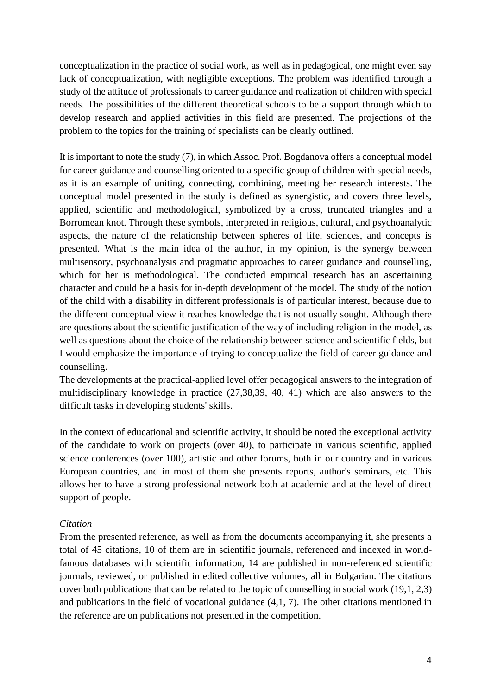conceptualization in the practice of social work, as well as in pedagogical, one might even say lack of conceptualization, with negligible exceptions. The problem was identified through a study of the attitude of professionals to career guidance and realization of children with special needs. The possibilities of the different theoretical schools to be a support through which to develop research and applied activities in this field are presented. The projections of the problem to the topics for the training of specialists can be clearly outlined.

It isimportant to note the study (7), in which Assoc. Prof. Bogdanova offers a conceptual model for career guidance and counselling oriented to a specific group of children with special needs, as it is an example of uniting, connecting, combining, meeting her research interests. The conceptual model presented in the study is defined as synergistic, and covers three levels, applied, scientific and methodological, symbolized by a cross, truncated triangles and a Borromean knot. Through these symbols, interpreted in religious, cultural, and psychoanalytic aspects, the nature of the relationship between spheres of life, sciences, and concepts is presented. What is the main idea of the author, in my opinion, is the synergy between multisensory, psychoanalysis and pragmatic approaches to career guidance and counselling, which for her is methodological. The conducted empirical research has an ascertaining character and could be a basis for in-depth development of the model. The study of the notion of the child with a disability in different professionals is of particular interest, because due to the different conceptual view it reaches knowledge that is not usually sought. Although there are questions about the scientific justification of the way of including religion in the model, as well as questions about the choice of the relationship between science and scientific fields, but I would emphasize the importance of trying to conceptualize the field of career guidance and counselling.

The developments at the practical-applied level offer pedagogical answers to the integration of multidisciplinary knowledge in practice (27,38,39, 40, 41) which are also answers to the difficult tasks in developing students' skills.

In the context of educational and scientific activity, it should be noted the exceptional activity of the candidate to work on projects (over 40), to participate in various scientific, applied science conferences (over 100), artistic and other forums, both in our country and in various European countries, and in most of them she presents reports, author's seminars, etc. This allows her to have a strong professional network both at academic and at the level of direct support of people.

#### *Citation*

From the presented reference, as well as from the documents accompanying it, she presents a total of 45 citations, 10 of them are in scientific journals, referenced and indexed in worldfamous databases with scientific information, 14 are published in non-referenced scientific journals, reviewed, or published in edited collective volumes, all in Bulgarian. The citations cover both publications that can be related to the topic of counselling in social work (19,1, 2,3) and publications in the field of vocational guidance (4,1, 7). The other citations mentioned in the reference are on publications not presented in the competition.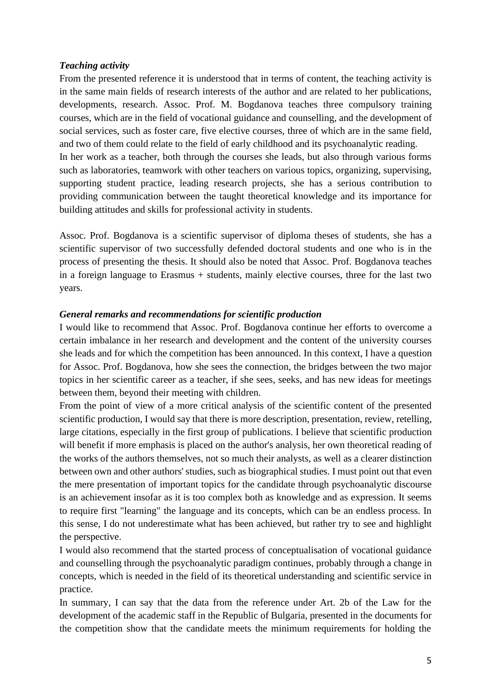#### *Teaching activity*

From the presented reference it is understood that in terms of content, the teaching activity is in the same main fields of research interests of the author and are related to her publications, developments, research. Assoc. Prof. M. Bogdanova teaches three compulsory training courses, which are in the field of vocational guidance and counselling, and the development of social services, such as foster care, five elective courses, three of which are in the same field, and two of them could relate to the field of early childhood and its psychoanalytic reading. In her work as a teacher, both through the courses she leads, but also through various forms such as laboratories, teamwork with other teachers on various topics, organizing, supervising, supporting student practice, leading research projects, she has a serious contribution to

providing communication between the taught theoretical knowledge and its importance for building attitudes and skills for professional activity in students.

Assoc. Prof. Bogdanova is a scientific supervisor of diploma theses of students, she has a scientific supervisor of two successfully defended doctoral students and one who is in the process of presenting the thesis. It should also be noted that Assoc. Prof. Bogdanova teaches in a foreign language to Erasmus + students, mainly elective courses, three for the last two years.

#### *General remarks and recommendations for scientific production*

I would like to recommend that Assoc. Prof. Bogdanova continue her efforts to overcome a certain imbalance in her research and development and the content of the university courses she leads and for which the competition has been announced. In this context, I have a question for Assoc. Prof. Bogdanova, how she sees the connection, the bridges between the two major topics in her scientific career as a teacher, if she sees, seeks, and has new ideas for meetings between them, beyond their meeting with children.

From the point of view of a more critical analysis of the scientific content of the presented scientific production, I would say that there is more description, presentation, review, retelling, large citations, especially in the first group of publications. I believe that scientific production will benefit if more emphasis is placed on the author's analysis, her own theoretical reading of the works of the authors themselves, not so much their analysts, as well as a clearer distinction between own and other authors' studies, such as biographical studies. I must point out that even the mere presentation of important topics for the candidate through psychoanalytic discourse is an achievement insofar as it is too complex both as knowledge and as expression. It seems to require first "learning" the language and its concepts, which can be an endless process. In this sense, I do not underestimate what has been achieved, but rather try to see and highlight the perspective.

I would also recommend that the started process of conceptualisation of vocational guidance and counselling through the psychoanalytic paradigm continues, probably through a change in concepts, which is needed in the field of its theoretical understanding and scientific service in practice.

In summary, I can say that the data from the reference under Art. 2b of the Law for the development of the academic staff in the Republic of Bulgaria, presented in the documents for the competition show that the candidate meets the minimum requirements for holding the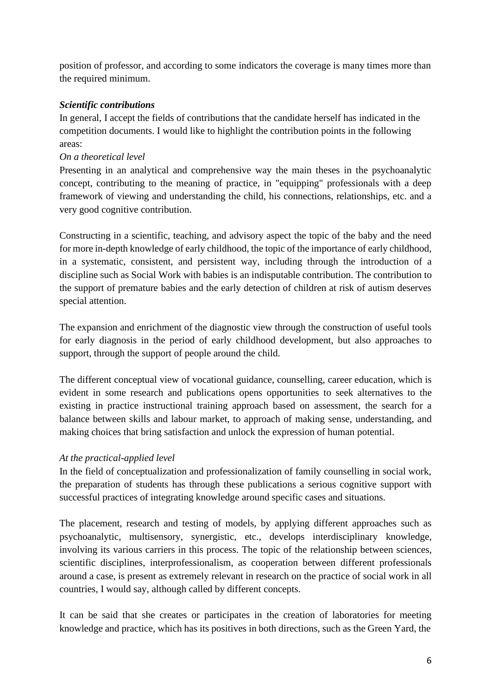position of professor, and according to some indicators the coverage is many times more than the required minimum.

# *Scientific contributions*

In general, I accept the fields of contributions that the candidate herself has indicated in the competition documents. I would like to highlight the contribution points in the following areas:

# *On a theoretical level*

Presenting in an analytical and comprehensive way the main theses in the psychoanalytic concept, contributing to the meaning of practice, in "equipping" professionals with a deep framework of viewing and understanding the child, his connections, relationships, etc. and a very good cognitive contribution.

Constructing in a scientific, teaching, and advisory aspect the topic of the baby and the need for more in-depth knowledge of early childhood, the topic of the importance of early childhood, in a systematic, consistent, and persistent way, including through the introduction of a discipline such as Social Work with babies is an indisputable contribution. The contribution to the support of premature babies and the early detection of children at risk of autism deserves special attention.

The expansion and enrichment of the diagnostic view through the construction of useful tools for early diagnosis in the period of early childhood development, but also approaches to support, through the support of people around the child.

The different conceptual view of vocational guidance, counselling, career education, which is evident in some research and publications opens opportunities to seek alternatives to the existing in practice instructional training approach based on assessment, the search for a balance between skills and labour market, to approach of making sense, understanding, and making choices that bring satisfaction and unlock the expression of human potential.

#### *At the practical-applied level*

In the field of conceptualization and professionalization of family counselling in social work, the preparation of students has through these publications a serious cognitive support with successful practices of integrating knowledge around specific cases and situations.

The placement, research and testing of models, by applying different approaches such as psychoanalytic, multisensory, synergistic, etc., develops interdisciplinary knowledge, involving its various carriers in this process. The topic of the relationship between sciences, scientific disciplines, interprofessionalism, as cooperation between different professionals around a case, is present as extremely relevant in research on the practice of social work in all countries, I would say, although called by different concepts.

It can be said that she creates or participates in the creation of laboratories for meeting knowledge and practice, which has its positives in both directions, such as the Green Yard, the